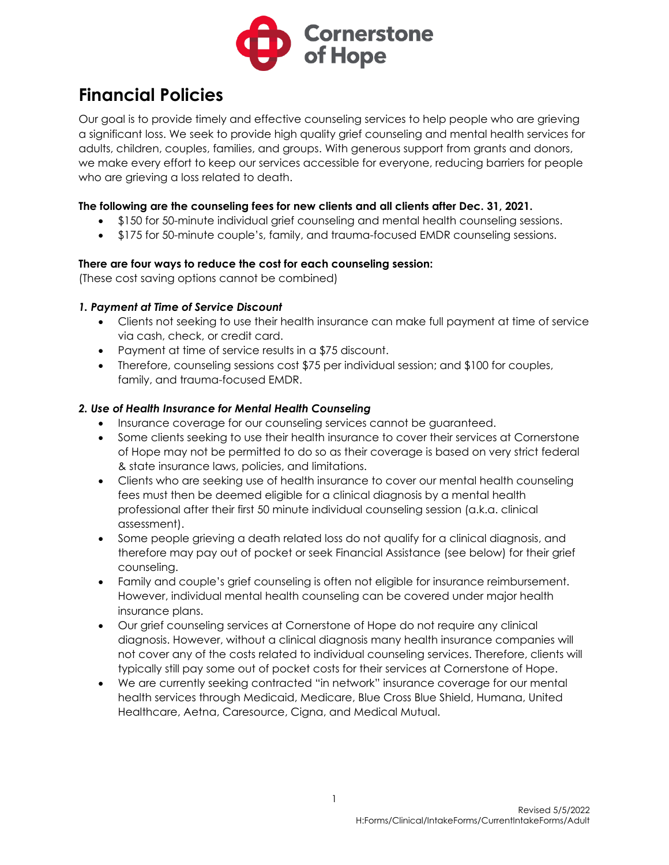

# **Financial Policies**

Our goal is to provide timely and effective counseling services to help people who are grieving a significant loss. We seek to provide high quality grief counseling and mental health services for adults, children, couples, families, and groups. With generous support from grants and donors, we make every effort to keep our services accessible for everyone, reducing barriers for people who are grieving a loss related to death.

#### **The following are the counseling fees for new clients and all clients after Dec. 31, 2021.**

- \$150 for 50-minute individual grief counseling and mental health counseling sessions.
- \$175 for 50-minute couple's, family, and trauma-focused EMDR counseling sessions.

#### **There are four ways to reduce the cost for each counseling session:**

(These cost saving options cannot be combined)

#### *1. Payment at Time of Service Discount*

- Clients not seeking to use their health insurance can make full payment at time of service via cash, check, or credit card.
- Payment at time of service results in a \$75 discount.
- Therefore, counseling sessions cost \$75 per individual session; and \$100 for couples, family, and trauma-focused EMDR.

#### *2. Use of Health Insurance for Mental Health Counseling*

- Insurance coverage for our counseling services cannot be guaranteed.
- Some clients seeking to use their health insurance to cover their services at Cornerstone of Hope may not be permitted to do so as their coverage is based on very strict federal & state insurance laws, policies, and limitations.
- Clients who are seeking use of health insurance to cover our mental health counseling fees must then be deemed eligible for a clinical diagnosis by a mental health professional after their first 50 minute individual counseling session (a.k.a. clinical assessment).
- Some people grieving a death related loss do not qualify for a clinical diagnosis, and therefore may pay out of pocket or seek Financial Assistance (see below) for their grief counseling.
- Family and couple's grief counseling is often not eligible for insurance reimbursement. However, individual mental health counseling can be covered under major health insurance plans.
- Our grief counseling services at Cornerstone of Hope do not require any clinical diagnosis. However, without a clinical diagnosis many health insurance companies will not cover any of the costs related to individual counseling services. Therefore, clients will typically still pay some out of pocket costs for their services at Cornerstone of Hope.
- We are currently seeking contracted "in network" insurance coverage for our mental health services through Medicaid, Medicare, Blue Cross Blue Shield, Humana, United Healthcare, Aetna, Caresource, Cigna, and Medical Mutual.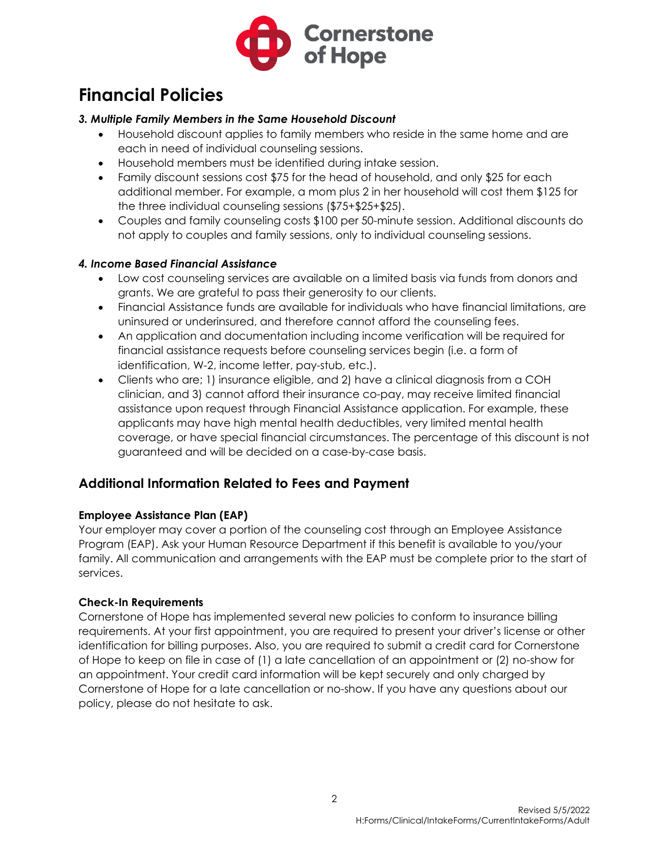

# **Financial Policies**

#### *3. Multiple Family Members in the Same Household Discount*

- Household discount applies to family members who reside in the same home and are each in need of individual counseling sessions.
- Household members must be identified during intake session.
- Family discount sessions cost \$75 for the head of household, and only \$25 for each additional member. For example, a mom plus 2 in her household will cost them \$125 for the three individual counseling sessions (\$75+\$25+\$25).
- Couples and family counseling costs \$100 per 50-minute session. Additional discounts do not apply to couples and family sessions, only to individual counseling sessions.

#### *4. Income Based Financial Assistance*

- Low cost counseling services are available on a limited basis via funds from donors and grants. We are grateful to pass their generosity to our clients.
- Financial Assistance funds are available for individuals who have financial limitations, are uninsured or underinsured, and therefore cannot afford the counseling fees.
- An application and documentation including income verification will be required for financial assistance requests before counseling services begin (i.e. a form of identification, W-2, income letter, pay-stub, etc.).
- Clients who are; 1) insurance eligible, and 2) have a clinical diagnosis from a COH clinician, and 3) cannot afford their insurance co-pay, may receive limited financial assistance upon request through Financial Assistance application. For example, these applicants may have high mental health deductibles, very limited mental health coverage, or have special financial circumstances. The percentage of this discount is not guaranteed and will be decided on a case-by-case basis.

### **Additional Information Related to Fees and Payment**

#### **Employee Assistance Plan (EAP)**

Your employer may cover a portion of the counseling cost through an Employee Assistance Program (EAP). Ask your Human Resource Department if this benefit is available to you/your family. All communication and arrangements with the EAP must be complete prior to the start of services.

#### **Check-In Requirements**

Cornerstone of Hope has implemented several new policies to conform to insurance billing requirements. At your first appointment, you are required to present your driver's license or other identification for billing purposes. Also, you are required to submit a credit card for Cornerstone of Hope to keep on file in case of (1) a late cancellation of an appointment or (2) no-show for an appointment. Your credit card information will be kept securely and only charged by Cornerstone of Hope for a late cancellation or no-show. If you have any questions about our policy, please do not hesitate to ask.